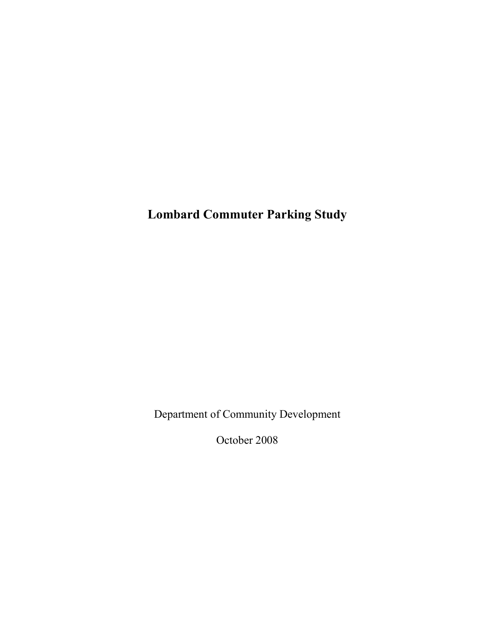Lombard Commuter Parking Study

Department of Community Development

October 2008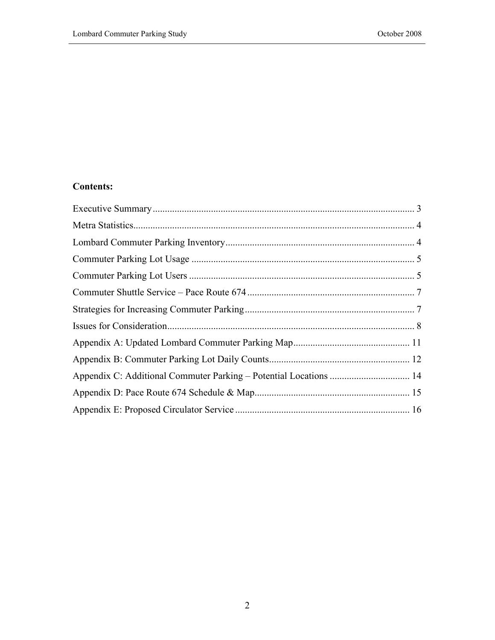# Contents: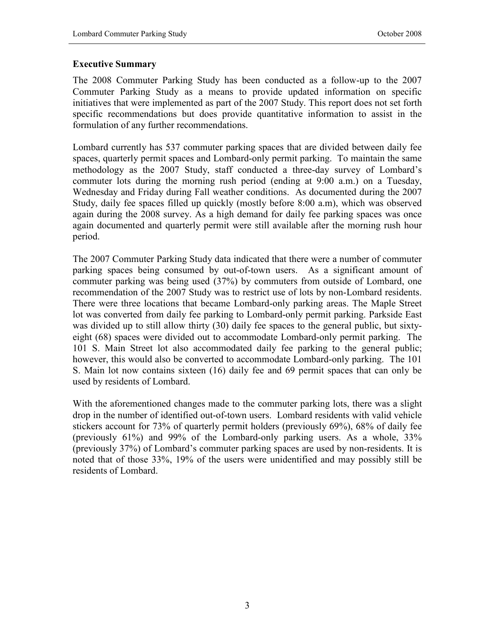### Executive Summary

The 2008 Commuter Parking Study has been conducted as a follow-up to the 2007 Commuter Parking Study as a means to provide updated information on specific initiatives that were implemented as part of the 2007 Study. This report does not set forth specific recommendations but does provide quantitative information to assist in the formulation of any further recommendations.

Lombard currently has 537 commuter parking spaces that are divided between daily fee spaces, quarterly permit spaces and Lombard-only permit parking. To maintain the same methodology as the 2007 Study, staff conducted a three-day survey of Lombard's commuter lots during the morning rush period (ending at 9:00 a.m.) on a Tuesday, Wednesday and Friday during Fall weather conditions. As documented during the 2007 Study, daily fee spaces filled up quickly (mostly before 8:00 a.m), which was observed again during the 2008 survey. As a high demand for daily fee parking spaces was once again documented and quarterly permit were still available after the morning rush hour period.

The 2007 Commuter Parking Study data indicated that there were a number of commuter parking spaces being consumed by out-of-town users. As a significant amount of commuter parking was being used (37%) by commuters from outside of Lombard, one recommendation of the 2007 Study was to restrict use of lots by non-Lombard residents. There were three locations that became Lombard-only parking areas. The Maple Street lot was converted from daily fee parking to Lombard-only permit parking. Parkside East was divided up to still allow thirty (30) daily fee spaces to the general public, but sixtyeight (68) spaces were divided out to accommodate Lombard-only permit parking. The 101 S. Main Street lot also accommodated daily fee parking to the general public; however, this would also be converted to accommodate Lombard-only parking. The 101 S. Main lot now contains sixteen (16) daily fee and 69 permit spaces that can only be used by residents of Lombard.

With the aforementioned changes made to the commuter parking lots, there was a slight drop in the number of identified out-of-town users. Lombard residents with valid vehicle stickers account for 73% of quarterly permit holders (previously 69%), 68% of daily fee (previously 61%) and 99% of the Lombard-only parking users. As a whole, 33% (previously 37%) of Lombard's commuter parking spaces are used by non-residents. It is noted that of those 33%, 19% of the users were unidentified and may possibly still be residents of Lombard.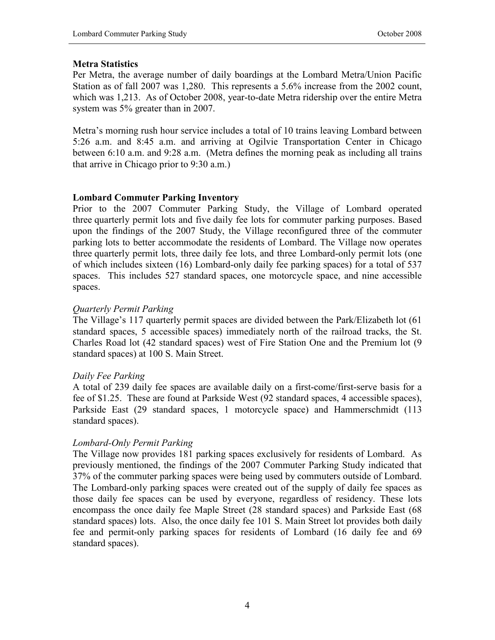### Metra Statistics

Per Metra, the average number of daily boardings at the Lombard Metra/Union Pacific Station as of fall 2007 was 1,280. This represents a 5.6% increase from the 2002 count, which was 1,213. As of October 2008, year-to-date Metra ridership over the entire Metra system was 5% greater than in 2007.

Metra's morning rush hour service includes a total of 10 trains leaving Lombard between 5:26 a.m. and 8:45 a.m. and arriving at Ogilvie Transportation Center in Chicago between 6:10 a.m. and 9:28 a.m. (Metra defines the morning peak as including all trains that arrive in Chicago prior to 9:30 a.m.)

# Lombard Commuter Parking Inventory

Prior to the 2007 Commuter Parking Study, the Village of Lombard operated three quarterly permit lots and five daily fee lots for commuter parking purposes. Based upon the findings of the 2007 Study, the Village reconfigured three of the commuter parking lots to better accommodate the residents of Lombard. The Village now operates three quarterly permit lots, three daily fee lots, and three Lombard-only permit lots (one of which includes sixteen (16) Lombard-only daily fee parking spaces) for a total of 537 spaces. This includes 527 standard spaces, one motorcycle space, and nine accessible spaces.

## Quarterly Permit Parking

The Village's 117 quarterly permit spaces are divided between the Park/Elizabeth lot (61 standard spaces, 5 accessible spaces) immediately north of the railroad tracks, the St. Charles Road lot (42 standard spaces) west of Fire Station One and the Premium lot (9 standard spaces) at 100 S. Main Street.

# Daily Fee Parking

A total of 239 daily fee spaces are available daily on a first-come/first-serve basis for a fee of \$1.25. These are found at Parkside West (92 standard spaces, 4 accessible spaces), Parkside East (29 standard spaces, 1 motorcycle space) and Hammerschmidt (113 standard spaces).

# Lombard-Only Permit Parking

The Village now provides 181 parking spaces exclusively for residents of Lombard. As previously mentioned, the findings of the 2007 Commuter Parking Study indicated that 37% of the commuter parking spaces were being used by commuters outside of Lombard. The Lombard-only parking spaces were created out of the supply of daily fee spaces as those daily fee spaces can be used by everyone, regardless of residency. These lots encompass the once daily fee Maple Street (28 standard spaces) and Parkside East (68 standard spaces) lots. Also, the once daily fee 101 S. Main Street lot provides both daily fee and permit-only parking spaces for residents of Lombard (16 daily fee and 69 standard spaces).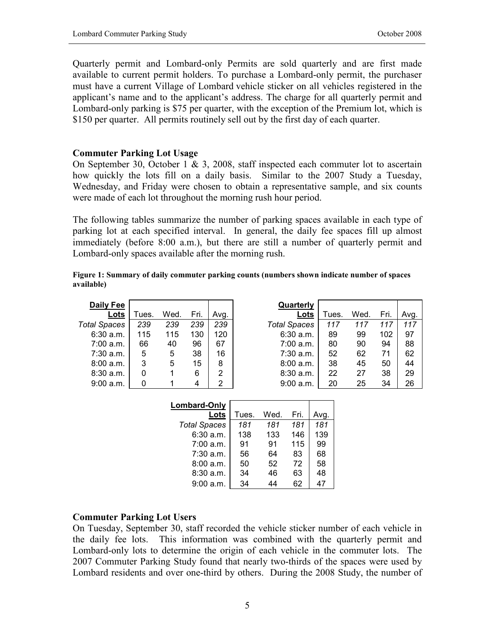Quarterly permit and Lombard-only Permits are sold quarterly and are first made available to current permit holders. To purchase a Lombard-only permit, the purchaser must have a current Village of Lombard vehicle sticker on all vehicles registered in the applicant's name and to the applicant's address. The charge for all quarterly permit and Lombard-only parking is \$75 per quarter, with the exception of the Premium lot, which is \$150 per quarter. All permits routinely sell out by the first day of each quarter.

#### Commuter Parking Lot Usage

On September 30, October 1  $\&$  3, 2008, staff inspected each commuter lot to ascertain how quickly the lots fill on a daily basis. Similar to the 2007 Study a Tuesday, Wednesday, and Friday were chosen to obtain a representative sample, and six counts were made of each lot throughout the morning rush hour period.

The following tables summarize the number of parking spaces available in each type of parking lot at each specified interval. In general, the daily fee spaces fill up almost immediately (before 8:00 a.m.), but there are still a number of quarterly permit and Lombard-only spaces available after the morning rush.

| Figure 1: Summary of daily commuter parking counts (numbers shown indicate number of spaces |  |
|---------------------------------------------------------------------------------------------|--|
| available)                                                                                  |  |

| Daily Fee           |       |      |      |      | Quarterly           |       |      |      |      |
|---------------------|-------|------|------|------|---------------------|-------|------|------|------|
| Lots                | Tues. | Wed. | Fri. | Avg. | <u>Lots</u>         | Tues. | Wed. | Fri. | Avg. |
| <b>Total Spaces</b> | 239   | 239  | 239  | 239  | <b>Total Spaces</b> | 117   | 117  | 117  | 117  |
| $6:30$ a.m.         | 115   | 115  | 130  | 120  | $6:30$ a.m.         | 89    | 99   | 102  | 97   |
| 7:00 a.m.           | 66    | 40   | 96   | 67   | 7:00 a.m.           | 80    | 90   | 94   | 88   |
| $7:30$ a.m.         | 5     | 5    | 38   | 16   | $7:30$ a.m.         | 52    | 62   | 71   | 62   |
| 8:00a.m.            | 3     | 5    | 15   | 8    | 8:00 a.m.           | 38    | 45   | 50   | 44   |
| 8:30a.m.            | 0     |      | 6    | 2    | 8:30a.m.            | 22    | 27   | 38   | 29   |
| 9:00 a.m.           | 0     |      | 4    | 2    | 9:00 a.m.           | 20    | 25   | 34   | 26   |

| Lombard-Only        |       |      |      |     |
|---------------------|-------|------|------|-----|
| Lots                | Tues. | Wed. | Fri. |     |
| <b>Total Spaces</b> | 181   | 181  | 181  | 181 |
| 6:30 a.m.           | 138   | 133  | 146  | 139 |
| $7:00$ a.m.         | 91    | 91   | 115  | 99  |
| $7:30$ a.m.         | 56    | 64   | 83   | 68  |
| 8:00a.m.            | 50    | 52   | 72   | 58  |
| 8:30 a.m.           | 34    | 46   | 63   | 48  |
| 9:00a.m.            | 34    |      | 62   |     |

#### Commuter Parking Lot Users

On Tuesday, September 30, staff recorded the vehicle sticker number of each vehicle in the daily fee lots. This information was combined with the quarterly permit and Lombard-only lots to determine the origin of each vehicle in the commuter lots. The 2007 Commuter Parking Study found that nearly two-thirds of the spaces were used by Lombard residents and over one-third by others. During the 2008 Study, the number of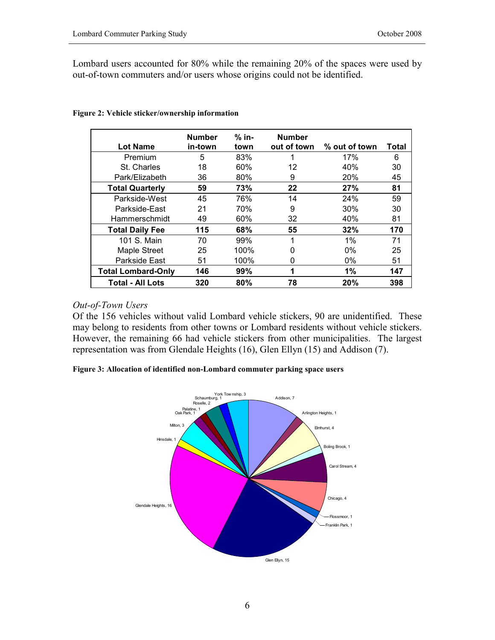Lombard users accounted for 80% while the remaining 20% of the spaces were used by out-of-town commuters and/or users whose origins could not be identified.

|                           | <b>Number</b> | $%$ in- | <b>Number</b> |               |       |
|---------------------------|---------------|---------|---------------|---------------|-------|
| <b>Lot Name</b>           | in-town       | town    | out of town   | % out of town | Total |
| Premium                   | 5             | 83%     |               | 17%           | 6     |
| St. Charles               | 18            | 60%     | 12            | 40%           | 30    |
| Park/Elizabeth            | 36            | 80%     | 9             | 20%           | 45    |
| <b>Total Quarterly</b>    | 59            | 73%     | 22            | 27%           | 81    |
| Parkside-West             | 45            | 76%     | 14            | 24%           | 59    |
| Parkside-East             | 21            | 70%     | 9             | 30%           | 30    |
| Hammerschmidt             | 49            | 60%     | 32            | 40%           | 81    |
| <b>Total Daily Fee</b>    | 115           | 68%     | 55            | 32%           | 170   |
| 101 S. Main               | 70            | 99%     | 1             | 1%            | 71    |
| Maple Street              | 25            | 100%    | 0             | $0\%$         | 25    |
| Parkside East             | 51            | 100%    | 0             | $0\%$         | 51    |
| <b>Total Lombard-Only</b> | 146           | 99%     | 1             | 1%            | 147   |
| <b>Total - All Lots</b>   | 320           | 80%     | 78            | 20%           | 398   |

Figure 2: Vehicle sticker/ownership information

#### Out-of-Town Users

Of the 156 vehicles without valid Lombard vehicle stickers, 90 are unidentified. These may belong to residents from other towns or Lombard residents without vehicle stickers. However, the remaining 66 had vehicle stickers from other municipalities. The largest representation was from Glendale Heights (16), Glen Ellyn (15) and Addison (7).

Figure 3: Allocation of identified non-Lombard commuter parking space users

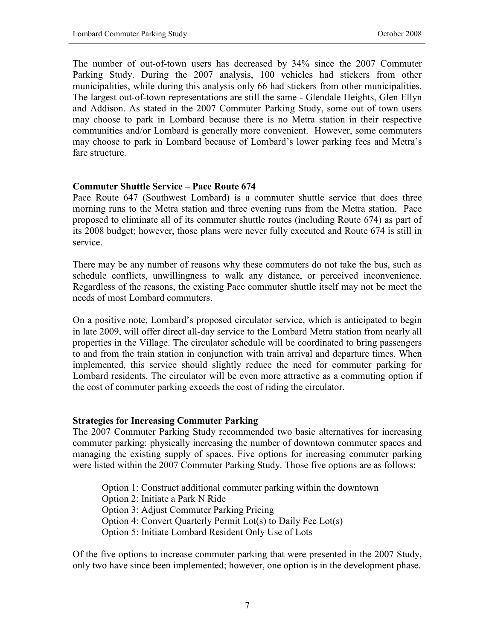The number of out-of-town users has decreased by 34% since the 2007 Commuter Parking Study. During the 2007 analysis, 100 vehicles had stickers from other municipalities, while during this analysis only 66 had stickers from other municipalities. The largest out-of-town representations are still the same - Glendale Heights, Glen Ellyn and Addison. As stated in the 2007 Commuter Parking Study, some out of town users may choose to park in Lombard because there is no Metra station in their respective communities and/or Lombard is generally more convenient. However, some commuters may choose to park in Lombard because of Lombard's lower parking fees and Metra's fare structure.

#### Commuter Shuttle Service – Pace Route 674

Pace Route 647 (Southwest Lombard) is a commuter shuttle service that does three morning runs to the Metra station and three evening runs from the Metra station. Pace proposed to eliminate all of its commuter shuttle routes (including Route 674) as part of its 2008 budget; however, those plans were never fully executed and Route 674 is still in service.

There may be any number of reasons why these commuters do not take the bus, such as schedule conflicts, unwillingness to walk any distance, or perceived inconvenience. Regardless of the reasons, the existing Pace commuter shuttle itself may not be meet the needs of most Lombard commuters.

On a positive note, Lombard's proposed circulator service, which is anticipated to begin in late 2009, will offer direct all-day service to the Lombard Metra station from nearly all properties in the Village. The circulator schedule will be coordinated to bring passengers to and from the train station in conjunction with train arrival and departure times. When implemented, this service should slightly reduce the need for commuter parking for Lombard residents. The circulator will be even more attractive as a commuting option if the cost of commuter parking exceeds the cost of riding the circulator.

#### Strategies for Increasing Commuter Parking

The 2007 Commuter Parking Study recommended two basic alternatives for increasing commuter parking: physically increasing the number of downtown commuter spaces and managing the existing supply of spaces. Five options for increasing commuter parking were listed within the 2007 Commuter Parking Study. Those five options are as follows:

Option 1: Construct additional commuter parking within the downtown Option 2: Initiate a Park N Ride Option 3: Adjust Commuter Parking Pricing Option 4: Convert Quarterly Permit Lot(s) to Daily Fee Lot(s) Option 5: Initiate Lombard Resident Only Use of Lots

Of the five options to increase commuter parking that were presented in the 2007 Study, only two have since been implemented; however, one option is in the development phase.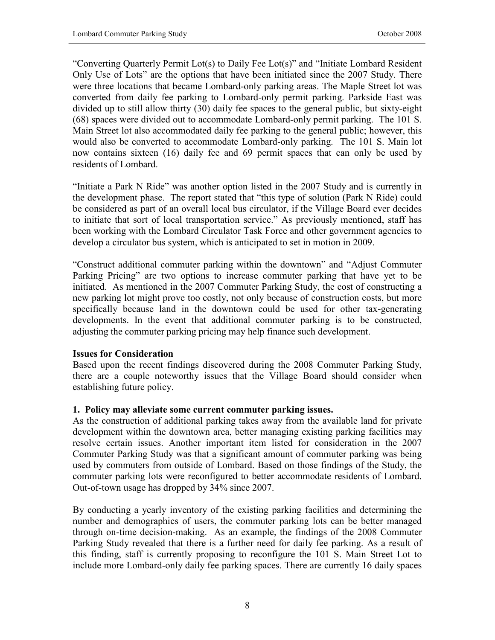"Converting Quarterly Permit Lot(s) to Daily Fee Lot(s)" and "Initiate Lombard Resident Only Use of Lots" are the options that have been initiated since the 2007 Study. There were three locations that became Lombard-only parking areas. The Maple Street lot was converted from daily fee parking to Lombard-only permit parking. Parkside East was divided up to still allow thirty (30) daily fee spaces to the general public, but sixty-eight (68) spaces were divided out to accommodate Lombard-only permit parking. The 101 S. Main Street lot also accommodated daily fee parking to the general public; however, this would also be converted to accommodate Lombard-only parking. The 101 S. Main lot now contains sixteen (16) daily fee and 69 permit spaces that can only be used by residents of Lombard.

"Initiate a Park N Ride" was another option listed in the 2007 Study and is currently in the development phase. The report stated that "this type of solution (Park N Ride) could be considered as part of an overall local bus circulator, if the Village Board ever decides to initiate that sort of local transportation service." As previously mentioned, staff has been working with the Lombard Circulator Task Force and other government agencies to develop a circulator bus system, which is anticipated to set in motion in 2009.

"Construct additional commuter parking within the downtown" and "Adjust Commuter Parking Pricing" are two options to increase commuter parking that have yet to be initiated. As mentioned in the 2007 Commuter Parking Study, the cost of constructing a new parking lot might prove too costly, not only because of construction costs, but more specifically because land in the downtown could be used for other tax-generating developments. In the event that additional commuter parking is to be constructed, adjusting the commuter parking pricing may help finance such development.

### Issues for Consideration

Based upon the recent findings discovered during the 2008 Commuter Parking Study, there are a couple noteworthy issues that the Village Board should consider when establishing future policy.

### 1. Policy may alleviate some current commuter parking issues.

As the construction of additional parking takes away from the available land for private development within the downtown area, better managing existing parking facilities may resolve certain issues. Another important item listed for consideration in the 2007 Commuter Parking Study was that a significant amount of commuter parking was being used by commuters from outside of Lombard. Based on those findings of the Study, the commuter parking lots were reconfigured to better accommodate residents of Lombard. Out-of-town usage has dropped by 34% since 2007.

By conducting a yearly inventory of the existing parking facilities and determining the number and demographics of users, the commuter parking lots can be better managed through on-time decision-making. As an example, the findings of the 2008 Commuter Parking Study revealed that there is a further need for daily fee parking. As a result of this finding, staff is currently proposing to reconfigure the 101 S. Main Street Lot to include more Lombard-only daily fee parking spaces. There are currently 16 daily spaces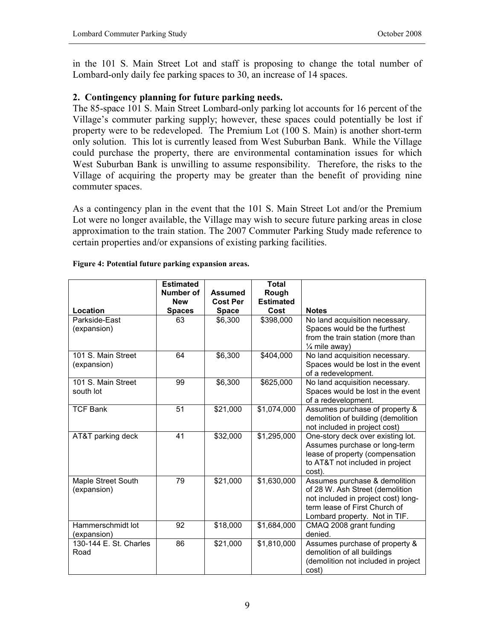in the 101 S. Main Street Lot and staff is proposing to change the total number of Lombard-only daily fee parking spaces to 30, an increase of 14 spaces.

# 2. Contingency planning for future parking needs.

The 85-space 101 S. Main Street Lombard-only parking lot accounts for 16 percent of the Village's commuter parking supply; however, these spaces could potentially be lost if property were to be redeveloped. The Premium Lot (100 S. Main) is another short-term only solution. This lot is currently leased from West Suburban Bank. While the Village could purchase the property, there are environmental contamination issues for which West Suburban Bank is unwilling to assume responsibility. Therefore, the risks to the Village of acquiring the property may be greater than the benefit of providing nine commuter spaces.

As a contingency plan in the event that the 101 S. Main Street Lot and/or the Premium Lot were no longer available, the Village may wish to secure future parking areas in close approximation to the train station. The 2007 Commuter Parking Study made reference to certain properties and/or expansions of existing parking facilities.

|                                   | <b>Estimated</b>            |                                 | <b>Total</b>             |                                                                                                                                                                           |
|-----------------------------------|-----------------------------|---------------------------------|--------------------------|---------------------------------------------------------------------------------------------------------------------------------------------------------------------------|
|                                   | Number of                   | <b>Assumed</b>                  | Rough                    |                                                                                                                                                                           |
| Location                          | <b>New</b><br><b>Spaces</b> | <b>Cost Per</b><br><b>Space</b> | <b>Estimated</b><br>Cost | <b>Notes</b>                                                                                                                                                              |
| Parkside-East<br>(expansion)      | 63                          | \$6,300                         | \$398,000                | No land acquisition necessary.<br>Spaces would be the furthest<br>from the train station (more than<br>$\frac{1}{4}$ mile away)                                           |
| 101 S. Main Street<br>(expansion) | 64                          | \$6,300                         | \$404,000                | No land acquisition necessary.<br>Spaces would be lost in the event<br>of a redevelopment.                                                                                |
| 101 S. Main Street<br>south lot   | 99                          | \$6,300                         | \$625,000                | No land acquisition necessary.<br>Spaces would be lost in the event<br>of a redevelopment.                                                                                |
| <b>TCF Bank</b>                   | $\overline{51}$             | \$21,000                        | \$1,074,000              | Assumes purchase of property &<br>demolition of building (demolition<br>not included in project cost)                                                                     |
| AT&T parking deck                 | 41                          | \$32,000                        | \$1,295,000              | One-story deck over existing lot.<br>Assumes purchase or long-term<br>lease of property (compensation<br>to AT&T not included in project<br>cost).                        |
| Maple Street South<br>(expansion) | 79                          | \$21,000                        | \$1,630,000              | Assumes purchase & demolition<br>of 28 W. Ash Street (demolition<br>not included in project cost) long-<br>term lease of First Church of<br>Lombard property. Not in TIF. |
| Hammerschmidt lot<br>(expansion)  | 92                          | \$18,000                        | \$1,684,000              | CMAQ 2008 grant funding<br>denied.                                                                                                                                        |
| 130-144 E. St. Charles<br>Road    | 86                          | \$21,000                        | \$1,810,000              | Assumes purchase of property &<br>demolition of all buildings<br>(demolition not included in project<br>cost)                                                             |

#### Figure 4: Potential future parking expansion areas.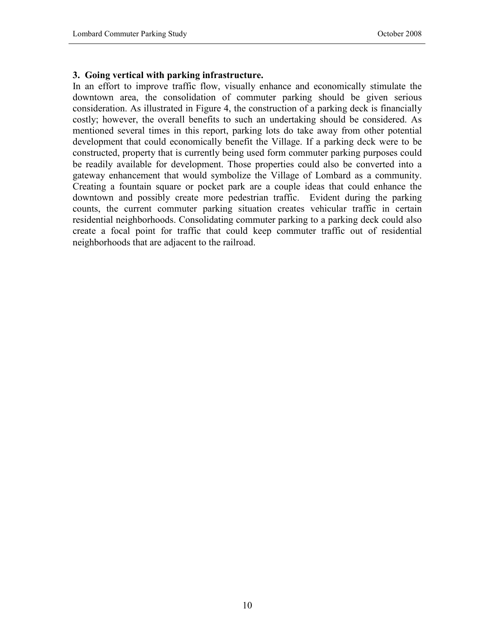#### 3. Going vertical with parking infrastructure.

In an effort to improve traffic flow, visually enhance and economically stimulate the downtown area, the consolidation of commuter parking should be given serious consideration. As illustrated in Figure 4, the construction of a parking deck is financially costly; however, the overall benefits to such an undertaking should be considered. As mentioned several times in this report, parking lots do take away from other potential development that could economically benefit the Village. If a parking deck were to be constructed, property that is currently being used form commuter parking purposes could be readily available for development. Those properties could also be converted into a gateway enhancement that would symbolize the Village of Lombard as a community. Creating a fountain square or pocket park are a couple ideas that could enhance the downtown and possibly create more pedestrian traffic. Evident during the parking counts, the current commuter parking situation creates vehicular traffic in certain residential neighborhoods. Consolidating commuter parking to a parking deck could also create a focal point for traffic that could keep commuter traffic out of residential neighborhoods that are adjacent to the railroad.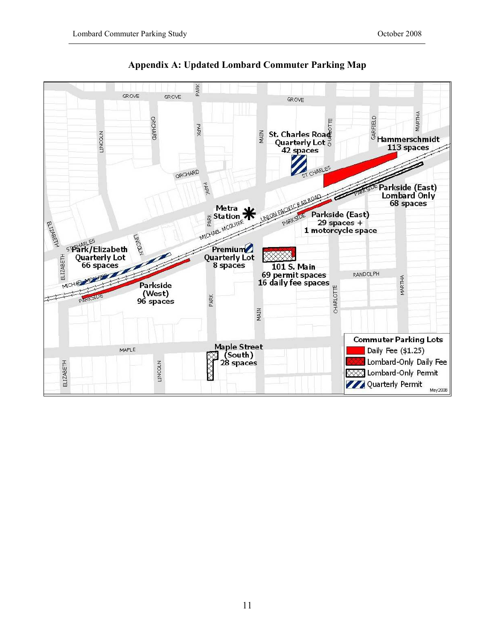

### Appendix A: Updated Lombard Commuter Parking Map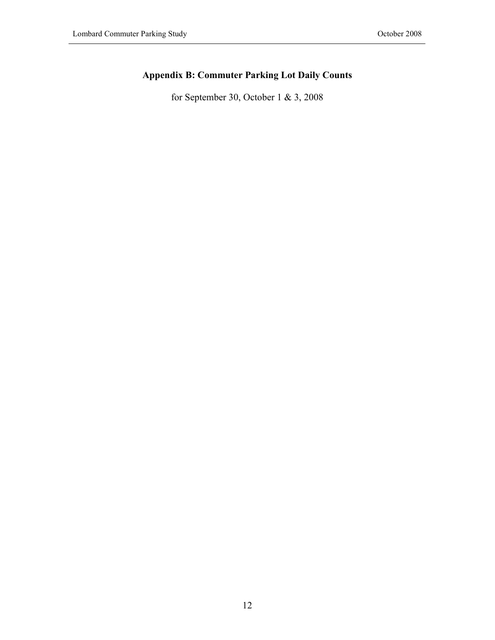# Appendix B: Commuter Parking Lot Daily Counts

for September 30, October 1 & 3, 2008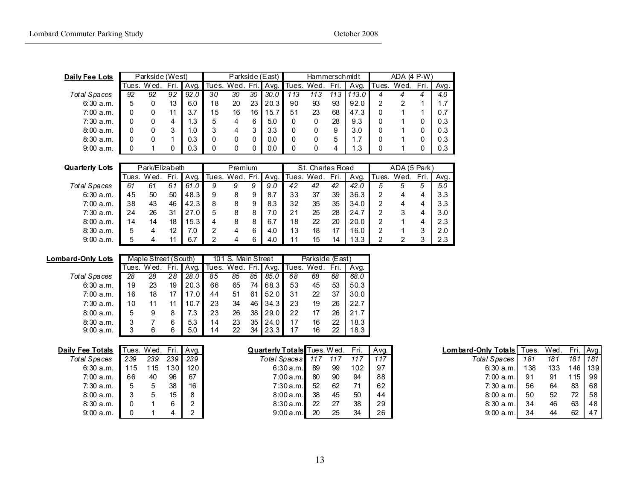| Daily Fee Lots |       | Parkside (West) |      |      | Parkside (East) |    |        |      | Hammerschmidt |      |      |       | $ADA$ (4 $P-W$ ) |      |      |      |
|----------------|-------|-----------------|------|------|-----------------|----|--------|------|---------------|------|------|-------|------------------|------|------|------|
|                | Tues. | Wed.            | Fri. | Avg. | Tues, Wed.      |    | . Fri. | Avg. | Tues.         | Wed. | Fri. | Ava.  | Tues.            | Wed. | Fri. | Avg. |
| Total Spaces   | 92    | 92              | 92   | 92.0 | 30              | 30 | 30     | 30.0 | 113           | 113  | 113  | 113.0 |                  |      |      | 4.0  |
| 6:30a.m.       | 5     |                 | 13   | 6.0  | 18              | 20 | 23     | 20.3 | 90            | 93   | 93   | 92.0  | 2                |      |      | 1.7  |
| 7:00 a.m.      |       |                 |      | 3.7  | 15              | 16 | 16     | 15.7 | 51            | 23   | 68   | 47.3  | 0                |      |      | 0.7  |
| $7:30$ a.m.    |       |                 | 4    | 3،   | 5               | 4  | 6      | 5.0  | 0             |      | 28   | 9.3   | 0                |      |      | 0.3  |
| 8:00a.m.       |       |                 | 3    | ı.O  | 3               | 4  | 3      | 3.3  | 0             | 0    | 9    | 3.0   | 0                |      |      | 0.3  |
| 8:30a.m.       |       |                 |      | 0.3  | 0               |    |        | 0.0  | 0             | 0    | 5    |       |                  |      |      | 0.3  |
| 9:00a.m.       |       |                 |      | 0.3  |                 |    |        | 0.0  | 0             | 0    | 4    | . 3   |                  |      |      | 0.3  |
|                |       |                 |      |      |                 |    |        |      |               |      |      |       |                  |      |      |      |

| <b>Quarterly Lots</b> |       | Park/Elizabeth |      |      |                 | Premium |   |      | St. Charles Road |      |      |      | ADA (5 Park) |      |      |      |
|-----------------------|-------|----------------|------|------|-----------------|---------|---|------|------------------|------|------|------|--------------|------|------|------|
|                       | Tues. | Wed.           | Fri. | Avg. | Tues. Wed. Fri. |         |   | Avg. | Tues.            | Wed. | Fri. | Avq. | Tues.        | Wed. | Fri. | Avg. |
| <b>Total Spaces</b>   | 61    | 61             | 61   | 61.0 | 9               | 9       | 9 | 9.0  | 42               | 42   | 42   | 42.0 | 5            |      | 5    | 5.0  |
| 6:30a.m.              | 45    | 50             | 50   | 48.3 | 9               | 8       | 9 | 8.7  | 33               | 37   | 39   | 36.3 |              |      |      | 3.3  |
| 7:00a.m.              | 38    | 43             | 46   | 42.3 | 8               |         | 9 | 8.3  | 32               | 35   | 35   | 34.0 | 2            |      |      | 3.3  |
| 7:30a.m.              | 24    | 26             | 31   | 27.0 | 5               |         | 8 | 7.0  | 21               | 25   | 28   | 24.7 | າ            |      |      | 3.0  |
| 8:00a.m.              | 14    | 14             | 18   | 5.3  | 4               |         |   | 6.7  | 18               | 22   | 20   | 20.0 |              |      |      | 2.3  |
| 8:30a.m.              | 5     |                | 12   | 7.0  |                 |         | 6 | 4.0  | 13               | 18   | 17   | 16.0 |              |      | 3    | 2.0  |
| 9:00a.m.              | 5     |                | 11   | 6.7  |                 |         | 6 | 4.0  |                  | 15   | 14   | 13.3 |              |      | 3    | 2.3  |

| Maple Street (South)<br>101 S. Main Street<br>Lombard-Only Lots              | Parkside (East) |      |  |  |
|------------------------------------------------------------------------------|-----------------|------|--|--|
| Fri.<br>Tues. Wed. Fri.<br>Tues, Wed.<br>Avg.<br>Avq.<br>Wed.<br>Tues.       | Fri.            | Avg. |  |  |
| 28.0<br>85.0<br>28<br>28<br>28<br>85<br>85<br>85<br>68<br>68<br>Total Spaces | 68              | 68.0 |  |  |
| 53<br>6:30a.m.<br>19<br>23<br>20.3<br>65<br>68.3<br>45<br>19<br>66<br>74     | 53              | 50.3 |  |  |
| 18<br>16<br>17.0<br>52.0<br>22<br>17<br>51<br>31<br>7:00 a.m.<br>61<br>44    | 37              | 30.0 |  |  |
| 23<br>23<br>34<br>19<br>34.3<br>$7:30$ a.m.<br>10<br>10.7<br>46<br>11        | 26              | 22.7 |  |  |
| 22<br>29.0<br>5<br>23<br>26<br>38<br>8:00a.m.<br>7.3<br>9<br>17<br>8         | 26              | 21.7 |  |  |
| 35<br>17<br>23<br>24.0<br>8:30a.m.<br>5.3<br>16<br>3<br>6<br>14              | 22              | 18.3 |  |  |
| 3<br>22<br>23.3<br>17<br>9:00a.m.<br>6<br>6<br>5.0<br>34<br>16<br>14         | 22              | 18.3 |  |  |

| <b>Daily Fee Totals</b> |     | Tues. Wed. Fri. |     | Avg |
|-------------------------|-----|-----------------|-----|-----|
| Total Spaces            | 239 | 239             | 239 | 239 |
| 6:30a.m.                | 115 | 115             | 130 | 120 |
| 7:00 a.m.               | 66  | 40              | 96  | 67  |
| 7:30 a.m.               | 5   | 5               | 38  | 16  |
| 8:00a.m.                | 3   | 5               | 15  | 8   |
| 8:30a.m.                | 0   |                 | 6   | 2   |
| 9:00a.m.                | O   |                 |     | 2   |
|                         |     |                 |     |     |

| <u>ee Totals</u> |     | Tues. Wed. Fri. |     | Ava. | <b>Quarterly Totals</b> Tues. Wed. |     |     | Fri. | Avq. | Lombard-Only Totals | Tues. | Wed. | Fri.    | <b>I</b> Avd |
|------------------|-----|-----------------|-----|------|------------------------------------|-----|-----|------|------|---------------------|-------|------|---------|--------------|
| ll Spaces        | 239 | 239             | 239 | 239  | Total Spaces 117                   |     | 117 | 117  | 117  | Total Spaces        | 181   | 181  | 181     | 1181         |
| 6:30 a.m.        | 115 | 15              | 30  | 120  | 6:30a.m.                           | -89 | 99  | 102  | 97   | 6:30a.m.            | 138   | 133  | 146 139 |              |
| 7:00 a.m.        | 66  | 40              | 96  | 67   | 7:00a.m.                           | 80  | 90  | 94   | 88   | 7:00a.m.            | 91    | 91   | 115 99  |              |
| 7:30 a.m.        |     |                 | 38  | 16   | 7:30a.m.                           | 52  | 62  | 71   | 62   | 7:30 a.m.           | 56    | 64   | 83      | 68           |
| 8:00 a.m.        |     |                 | 15  |      | 8:00a.m.                           | 38  | 45  | 50   | 44   | 8:00a.m.            | 50    | 52   | 72      | 58           |
| 8:30 a.m.        |     |                 |     |      | 8:30a.m.                           | 22  | 27  | 38   | 29   | 8:30a.m.            | 34    | 46   | 63      | 48           |
| 9:00 a.m.        |     |                 |     |      | 9:00a.m.                           | 20  | 25  | 34   | 26   | 9:00a.m.            | 34    | 44   | 62      | l 47         |

| ly Fee Totals |     | Tues. Wed. Fri.   Avg. |                  |                  | <b>Quarterly Totals</b> Tues. Wed. |      |     | Fri. | Ava. | <b>Lombard-Only Totals</b> Tues. |     | Wed. |       | Fri. Avg. |
|---------------|-----|------------------------|------------------|------------------|------------------------------------|------|-----|------|------|----------------------------------|-----|------|-------|-----------|
| Total Spaces  | 239 | 239                    | 239              | 239              | Total Spaces 117                   |      | 117 | 117  | 117  | Total Spaces                     | 181 | 181  | 181   | 1181      |
| 6:30 a.m.     | 115 | 115                    | 130 <sub>1</sub> | 120 <sub>l</sub> | 6:30 a.m. 89                       |      | -99 | 102  | 97   | 6:30 $a.m.$                      | 138 | 133  |       | 146   139 |
| 7:00 a.m.     | 66  | 40                     | 96               | 67               | 7:00 a.m.                          | - 80 | 90  | 94   | 88   | 7:00 a.m.                        | -91 | -91  | 115 I | 99        |
| 7:30 a.m.     | 5   |                        | 38               | 16               | 7:30 a.m.                          | 52   | 62  | 71   | 62   | 7:30 a.m.                        | 56  | 64   | 83    | 68        |
| 8:00a.m.      |     |                        | 15               | 8                | 8:00a.m.                           | -38  | 45  | 50   | 44   | 8:00a.m.                         | -50 | 52   | 72    | 58        |
| 8:30a.m.      |     |                        | 6                |                  | 8:30a.m.                           | 22   | 27  | 38   | 29   | 8:30a.m.                         | 34  | 46   | 63    | 48        |
| 9:00 a.m.     |     |                        | 4                |                  | 9:00a.m.                           | -20  | 25  | 34   | 26   | 9:00 a.m.                        | -34 | 44   | 62    | 47        |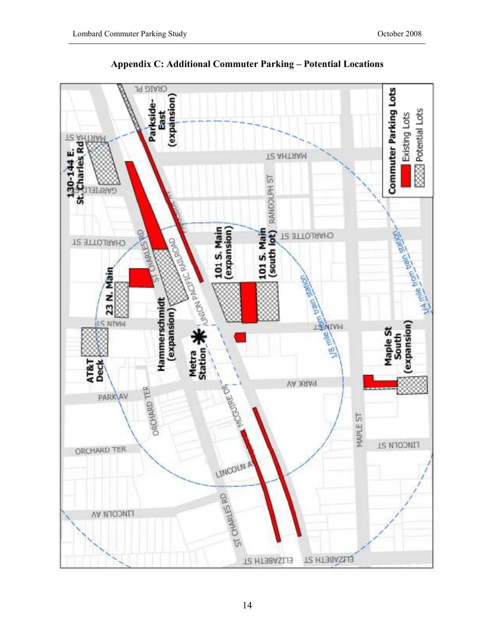

Appendix C: Additional Commuter Parking – Potential Locations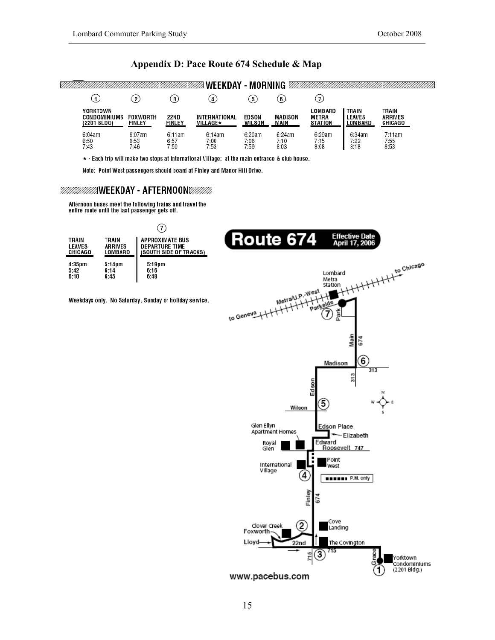#### Appendix D: Pace Route 674 Schedule & Map



\* - Each trip will make two stops at International Village: at the main entrance & club house.

Note: Point West passengers should board at Finley and Manor Hill Drive.

#### WEEKDAY - AFTERNOON S

Afternoon buses meet the following trains and travel the entire route until the last passenger gets off.

5:42<br>6:10



www.pacebus.com